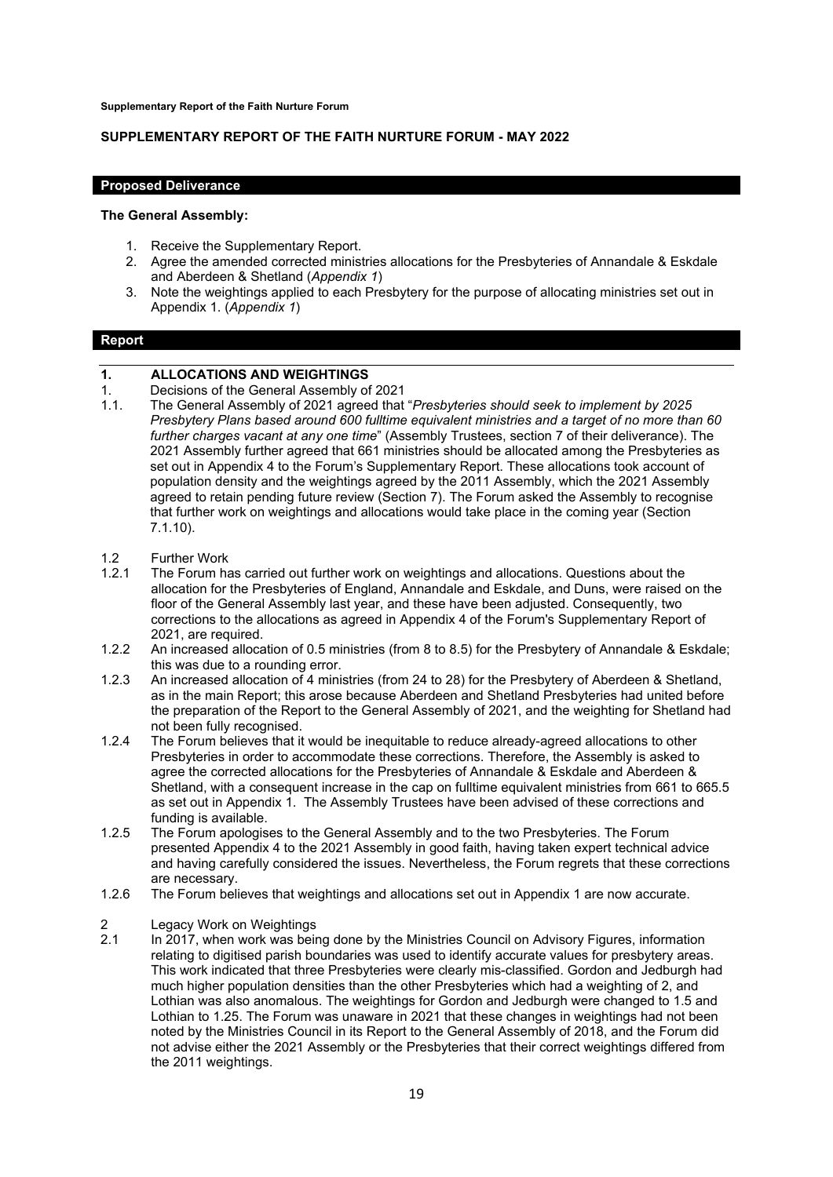**Supplementary Report of the Faith Nurture Forum**

## **SUPPLEMENTARY REPORT OF THE FAITH NURTURE FORUM - MAY 2022**

#### **Proposed Deliverance**

#### **The General Assembly:**

- 1. Receive the Supplementary Report.
- 2. Agree the amended corrected ministries allocations for the Presbyteries of Annandale & Eskdale and Aberdeen & Shetland (*Appendix 1*)
- 3. Note the weightings applied to each Presbytery for the purpose of allocating ministries set out in Appendix 1. (*Appendix 1*)

#### **Report**

# **1. ALLOCATIONS AND WEIGHTINGS**

- 1. Decisions of the General Assembly of 2021<br>1.1. The General Assembly of 2021 agreed that
- 1.1. The General Assembly of 2021 agreed that "*Presbyteries should seek to implement by 2025 Presbytery Plans based around 600 fulltime equivalent ministries and a target of no more than 60 further charges vacant at any one time*" (Assembly Trustees, section 7 of their deliverance). The 2021 Assembly further agreed that 661 ministries should be allocated among the Presbyteries as set out in Appendix 4 to the Forum's Supplementary Report. These allocations took account of population density and the weightings agreed by the 2011 Assembly, which the 2021 Assembly agreed to retain pending future review (Section 7). The Forum asked the Assembly to recognise that further work on weightings and allocations would take place in the coming year (Section 7.1.10).
- 1.2 Further Work<br>1.2.1 The Forum ha
- The Forum has carried out further work on weightings and allocations. Questions about the allocation for the Presbyteries of England, Annandale and Eskdale, and Duns, were raised on the floor of the General Assembly last year, and these have been adjusted. Consequently, two corrections to the allocations as agreed in Appendix 4 of the Forum's Supplementary Report of 2021, are required.
- 1.2.2 An increased allocation of 0.5 ministries (from 8 to 8.5) for the Presbytery of Annandale & Eskdale; this was due to a rounding error.
- 1.2.3 An increased allocation of 4 ministries (from 24 to 28) for the Presbytery of Aberdeen & Shetland, as in the main Report; this arose because Aberdeen and Shetland Presbyteries had united before the preparation of the Report to the General Assembly of 2021, and the weighting for Shetland had not been fully recognised.
- 1.2.4 The Forum believes that it would be inequitable to reduce already-agreed allocations to other Presbyteries in order to accommodate these corrections. Therefore, the Assembly is asked to agree the corrected allocations for the Presbyteries of Annandale & Eskdale and Aberdeen & Shetland, with a consequent increase in the cap on fulltime equivalent ministries from 661 to 665.5 as set out in Appendix 1. The Assembly Trustees have been advised of these corrections and funding is available.
- 1.2.5 The Forum apologises to the General Assembly and to the two Presbyteries. The Forum presented Appendix 4 to the 2021 Assembly in good faith, having taken expert technical advice and having carefully considered the issues. Nevertheless, the Forum regrets that these corrections are necessary.
- 1.2.6 The Forum believes that weightings and allocations set out in Appendix 1 are now accurate.

## 2 Legacy Work on Weightings<br>2.1 Lin. 2017 when work was being

2.1 In 2017, when work was being done by the Ministries Council on Advisory Figures, information relating to digitised parish boundaries was used to identify accurate values for presbytery areas. This work indicated that three Presbyteries were clearly mis-classified. Gordon and Jedburgh had much higher population densities than the other Presbyteries which had a weighting of 2, and Lothian was also anomalous. The weightings for Gordon and Jedburgh were changed to 1.5 and Lothian to 1.25. The Forum was unaware in 2021 that these changes in weightings had not been noted by the Ministries Council in its Report to the General Assembly of 2018, and the Forum did not advise either the 2021 Assembly or the Presbyteries that their correct weightings differed from the 2011 weightings.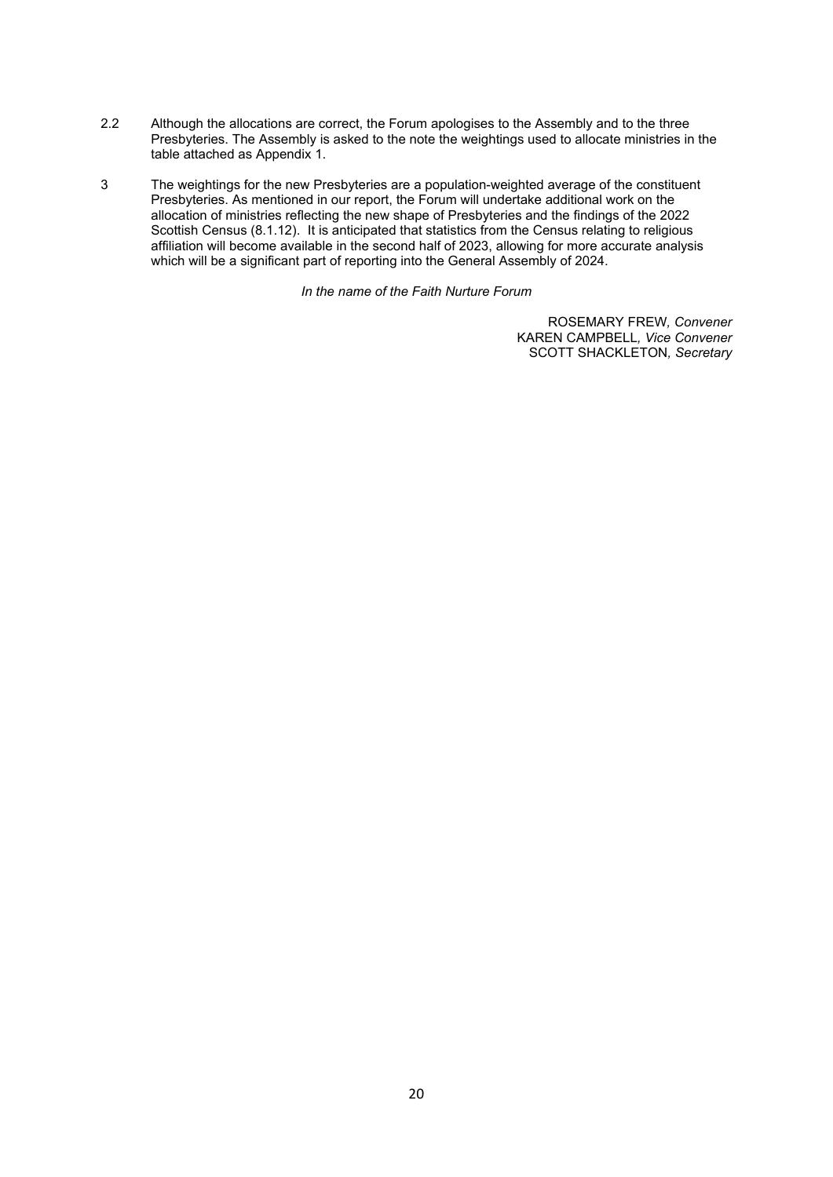- 2.2 Although the allocations are correct, the Forum apologises to the Assembly and to the three Presbyteries. The Assembly is asked to the note the weightings used to allocate ministries in the table attached as Appendix 1.
- 3 The weightings for the new Presbyteries are a population-weighted average of the constituent Presbyteries. As mentioned in our report, the Forum will undertake additional work on the allocation of ministries reflecting the new shape of Presbyteries and the findings of the 2022 Scottish Census (8.1.12). It is anticipated that statistics from the Census relating to religious affiliation will become available in the second half of 2023, allowing for more accurate analysis which will be a significant part of reporting into the General Assembly of 2024.

*In the name of the Faith Nurture Forum*

ROSEMARY FREW*, Convener* KAREN CAMPBELL*, Vice Convener* SCOTT SHACKLETON*, Secretary*